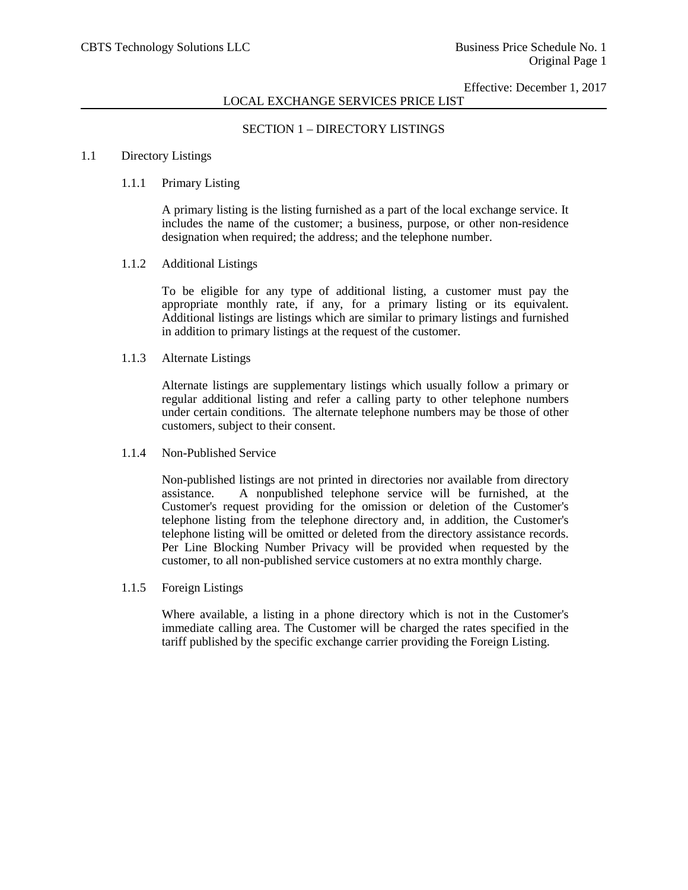### LOCAL EXCHANGE SERVICES PRICE LIST

### SECTION 1 – DIRECTORY LISTINGS

#### 1.1 Directory Listings

#### 1.1.1 Primary Listing

A primary listing is the listing furnished as a part of the local exchange service. It includes the name of the customer; a business, purpose, or other non-residence designation when required; the address; and the telephone number.

#### 1.1.2 Additional Listings

To be eligible for any type of additional listing, a customer must pay the appropriate monthly rate, if any, for a primary listing or its equivalent. Additional listings are listings which are similar to primary listings and furnished in addition to primary listings at the request of the customer.

#### 1.1.3 Alternate Listings

Alternate listings are supplementary listings which usually follow a primary or regular additional listing and refer a calling party to other telephone numbers under certain conditions. The alternate telephone numbers may be those of other customers, subject to their consent.

#### 1.1.4 Non-Published Service

Non-published listings are not printed in directories nor available from directory assistance. A nonpublished telephone service will be furnished, at the Customer's request providing for the omission or deletion of the Customer's telephone listing from the telephone directory and, in addition, the Customer's telephone listing will be omitted or deleted from the directory assistance records. Per Line Blocking Number Privacy will be provided when requested by the customer, to all non-published service customers at no extra monthly charge.

#### 1.1.5 Foreign Listings

Where available, a listing in a phone directory which is not in the Customer's immediate calling area. The Customer will be charged the rates specified in the tariff published by the specific exchange carrier providing the Foreign Listing.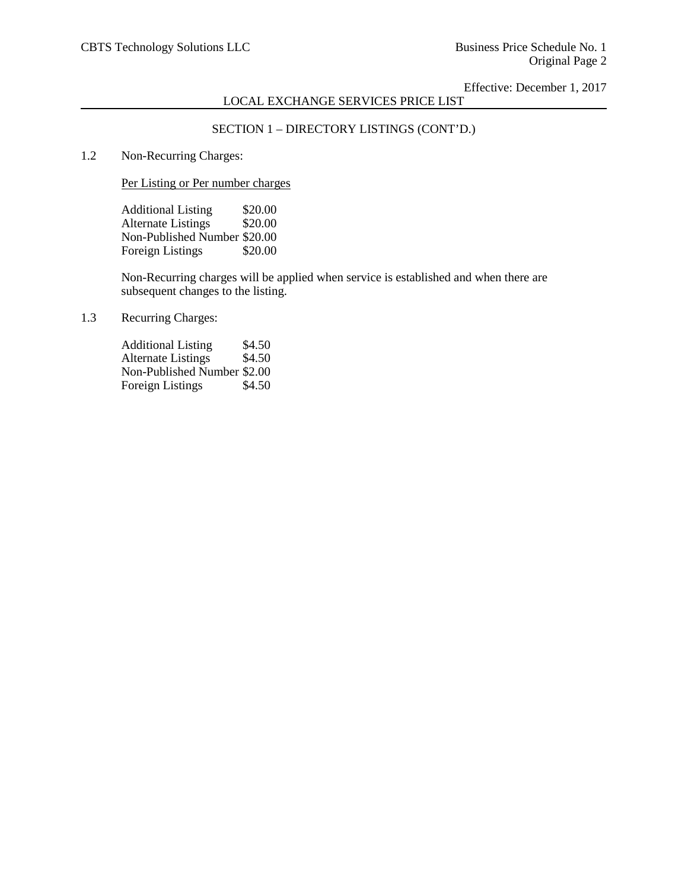# LOCAL EXCHANGE SERVICES PRICE LIST

### SECTION 1 – DIRECTORY LISTINGS (CONT'D.)

1.2 Non-Recurring Charges:

Per Listing or Per number charges

| <b>Additional Listing</b>    | \$20.00 |
|------------------------------|---------|
| <b>Alternate Listings</b>    | \$20.00 |
| Non-Published Number \$20.00 |         |
| Foreign Listings             | \$20.00 |

Non-Recurring charges will be applied when service is established and when there are subsequent changes to the listing.

1.3 Recurring Charges:

| <b>Additional Listing</b>   | \$4.50 |
|-----------------------------|--------|
| <b>Alternate Listings</b>   | \$4.50 |
| Non-Published Number \$2.00 |        |
| Foreign Listings            | \$4.50 |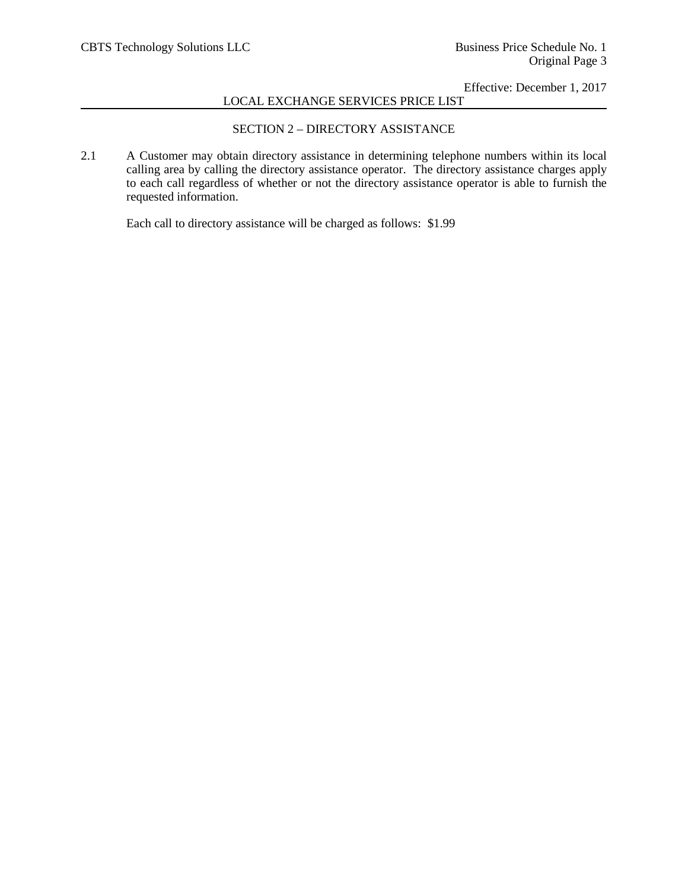## LOCAL EXCHANGE SERVICES PRICE LIST

### SECTION 2 – DIRECTORY ASSISTANCE

2.1 A Customer may obtain directory assistance in determining telephone numbers within its local calling area by calling the directory assistance operator. The directory assistance charges apply to each call regardless of whether or not the directory assistance operator is able to furnish the requested information.

Each call to directory assistance will be charged as follows: \$1.99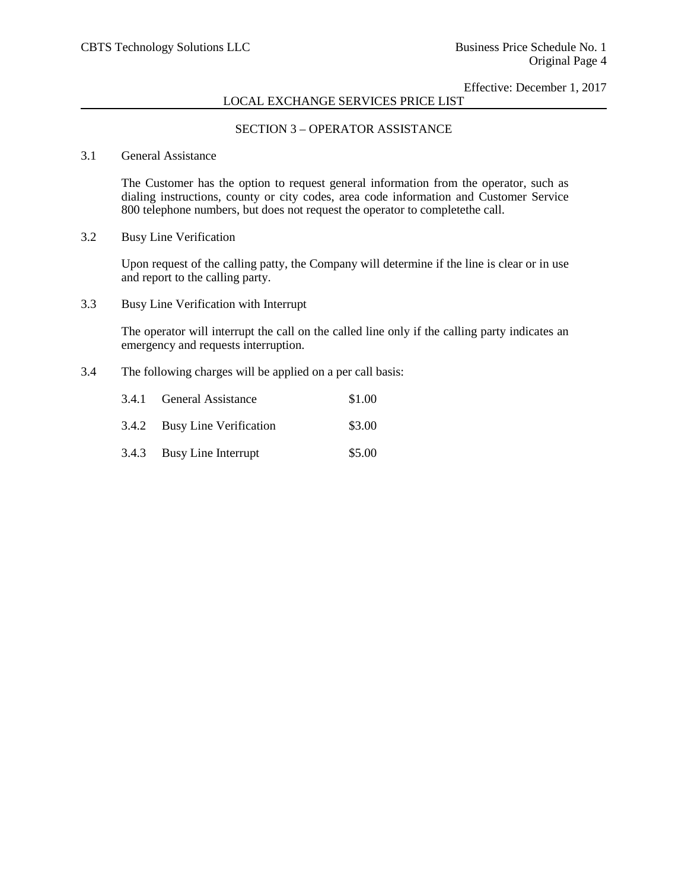## LOCAL EXCHANGE SERVICES PRICE LIST

### SECTION 3 – OPERATOR ASSISTANCE

### 3.1 General Assistance

The Customer has the option to request general information from the operator, such as dialing instructions, county or city codes, area code information and Customer Service 800 telephone numbers, but does not request the operator to completethe call.

3.2 Busy Line Verification

Upon request of the calling patty, the Company will determine if the line is clear or in use and report to the calling party.

3.3 Busy Line Verification with Interrupt

The operator will interrupt the call on the called line only if the calling party indicates an emergency and requests interruption.

3.4 The following charges will be applied on a per call basis:

| 3.4.1 General Assistance     | \$1.00 |
|------------------------------|--------|
| 3.4.2 Busy Line Verification | \$3.00 |
| 3.4.3 Busy Line Interrupt    | \$5.00 |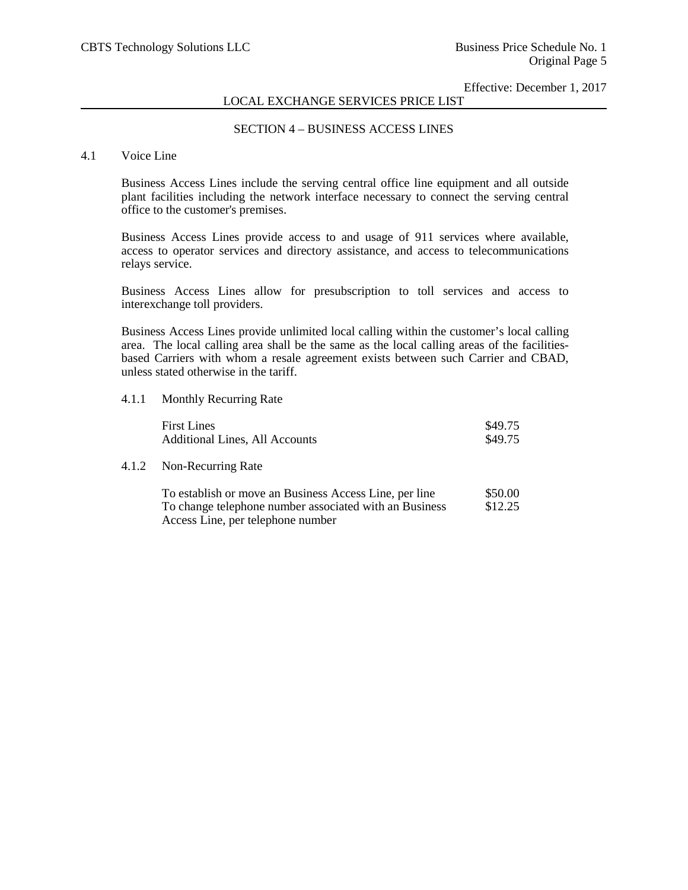### LOCAL EXCHANGE SERVICES PRICE LIST

#### SECTION 4 – BUSINESS ACCESS LINES

#### 4.1 Voice Line

Business Access Lines include the serving central office line equipment and all outside plant facilities including the network interface necessary to connect the serving central office to the customer's premises.

Business Access Lines provide access to and usage of 911 services where available, access to operator services and directory assistance, and access to telecommunications relays service.

Business Access Lines allow for presubscription to toll services and access to interexchange toll providers.

Business Access Lines provide unlimited local calling within the customer's local calling area. The local calling area shall be the same as the local calling areas of the facilitiesbased Carriers with whom a resale agreement exists between such Carrier and CBAD, unless stated otherwise in the tariff.

#### 4.1.1 Monthly Recurring Rate

| <b>First Lines</b>                    | \$49.75 |
|---------------------------------------|---------|
| <b>Additional Lines, All Accounts</b> | \$49.75 |

#### 4.1.2 Non-Recurring Rate

| To establish or move an Business Access Line, per line | \$50.00 |
|--------------------------------------------------------|---------|
| To change telephone number associated with an Business | \$12.25 |
| Access Line, per telephone number                      |         |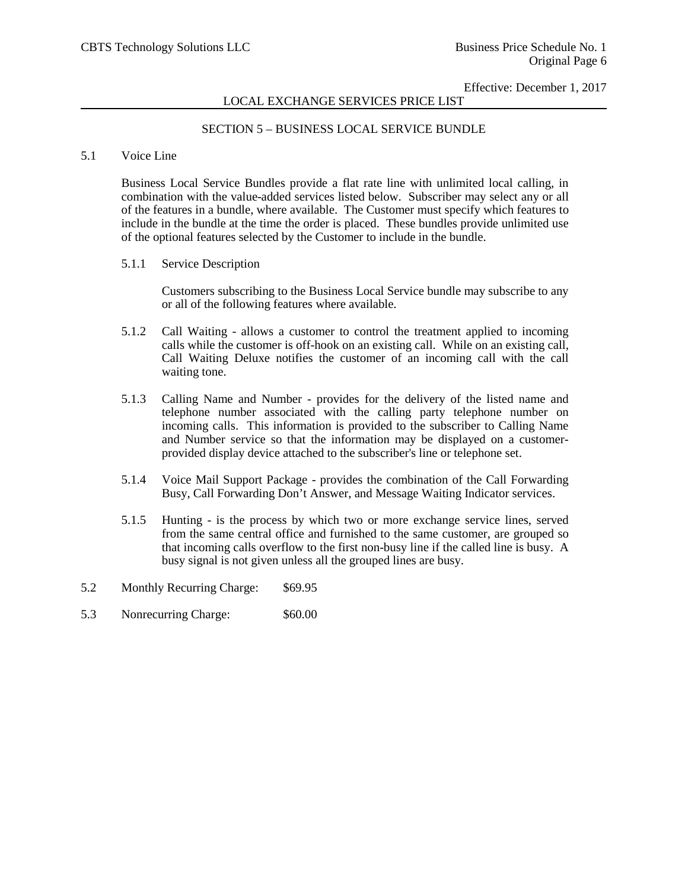### LOCAL EXCHANGE SERVICES PRICE LIST

### SECTION 5 – BUSINESS LOCAL SERVICE BUNDLE

#### 5.1 Voice Line

Business Local Service Bundles provide a flat rate line with unlimited local calling, in combination with the value-added services listed below. Subscriber may select any or all of the features in a bundle, where available. The Customer must specify which features to include in the bundle at the time the order is placed. These bundles provide unlimited use of the optional features selected by the Customer to include in the bundle.

5.1.1 Service Description

Customers subscribing to the Business Local Service bundle may subscribe to any or all of the following features where available.

- 5.1.2 Call Waiting allows a customer to control the treatment applied to incoming calls while the customer is off-hook on an existing call. While on an existing call, Call Waiting Deluxe notifies the customer of an incoming call with the call waiting tone.
- 5.1.3 Calling Name and Number provides for the delivery of the listed name and telephone number associated with the calling party telephone number on incoming calls. This information is provided to the subscriber to Calling Name and Number service so that the information may be displayed on a customerprovided display device attached to the subscriber's line or telephone set.
- 5.1.4 Voice Mail Support Package provides the combination of the Call Forwarding Busy, Call Forwarding Don't Answer, and Message Waiting Indicator services.
- 5.1.5 Hunting is the process by which two or more exchange service lines, served from the same central office and furnished to the same customer, are grouped so that incoming calls overflow to the first non-busy line if the called line is busy. A busy signal is not given unless all the grouped lines are busy.
- 5.2 Monthly Recurring Charge: \$69.95
- 5.3 Nonrecurring Charge: \$60.00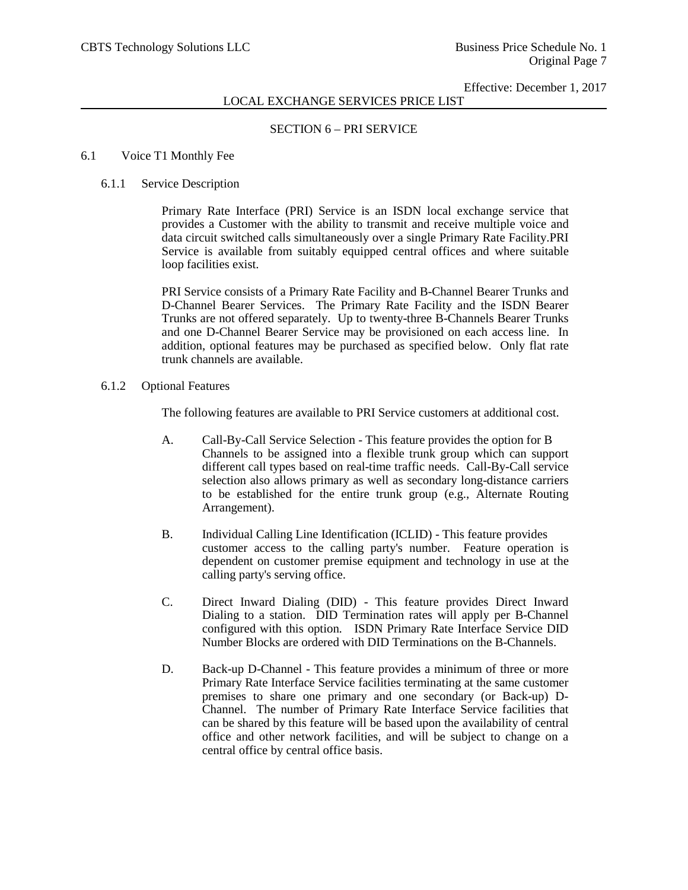### LOCAL EXCHANGE SERVICES PRICE LIST

### SECTION 6 – PRI SERVICE

#### 6.1 Voice T1 Monthly Fee

#### 6.1.1 Service Description

Primary Rate Interface (PRI) Service is an ISDN local exchange service that provides a Customer with the ability to transmit and receive multiple voice and data circuit switched calls simultaneously over a single Primary Rate Facility.PRI Service is available from suitably equipped central offices and where suitable loop facilities exist.

PRI Service consists of a Primary Rate Facility and B-Channel Bearer Trunks and D-Channel Bearer Services. The Primary Rate Facility and the ISDN Bearer Trunks are not offered separately. Up to twenty-three B-Channels Bearer Trunks and one D-Channel Bearer Service may be provisioned on each access line. In addition, optional features may be purchased as specified below. Only flat rate trunk channels are available.

6.1.2 Optional Features

The following features are available to PRI Service customers at additional cost.

- A. Call-By-Call Service Selection This feature provides the option for B Channels to be assigned into a flexible trunk group which can support different call types based on real-time traffic needs. Call-By-Call service selection also allows primary as well as secondary long-distance carriers to be established for the entire trunk group (e.g., Alternate Routing Arrangement).
- B. Individual Calling Line Identification (ICLID) This feature provides customer access to the calling party's number. Feature operation is dependent on customer premise equipment and technology in use at the calling party's serving office.
- C. Direct Inward Dialing (DID) This feature provides Direct Inward Dialing to a station. DID Termination rates will apply per B-Channel configured with this option. ISDN Primary Rate Interface Service DID Number Blocks are ordered with DID Terminations on the B-Channels.
- D. Back-up D-Channel This feature provides a minimum of three or more Primary Rate Interface Service facilities terminating at the same customer premises to share one primary and one secondary (or Back-up) D-Channel. The number of Primary Rate Interface Service facilities that can be shared by this feature will be based upon the availability of central office and other network facilities, and will be subject to change on a central office by central office basis.